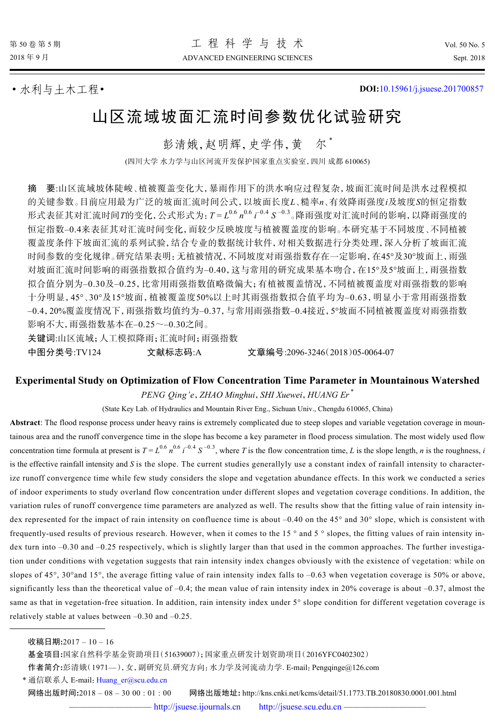• 水利与土木工程• **DOI:**[10.15961/j.jsuese.201700857](http://dx.doi.org/10.15961/j.jsuese.201700857)

# 山区流域坡面汇流时间参数优化试验研究

彭清娥,赵明辉,史学伟,黄 尔 \*

(四川大学 水力学与山区河流开发保护国家重点实验室,四川 成都 610065)

要:山区流域坡体陡峻、植被覆盖变化大,暴雨作用下的洪水响应过程复杂,坡面汇流时间是洪水过程模拟 的关键参数。目前应用最为广泛的坡面汇流时间公式,以坡面长度*L*、糙率*n*、有效降雨强度*i*及坡度*S*的恒定指数 形式表征其对汇流时间*T*的变化,公式形式为: T=L<sup>0.6</sup> n<sup>0.6</sup> i<sup>-0.4</sup> S<sup>-0.3</sup>。降雨强度对汇流时间的影响, 以降雨强度的 恒定指数–0.4来表征其对汇流时间变化,而较少反映坡度与植被覆盖度的影响。本研究基于不同坡度、不同植被 覆盖度条件下坡面汇流的系列试验,结合专业的数据统计软件,对相关数据进行分类处理,深入分析了坡面汇流 时间参数的变化规律。研究结果表明:无植被情况,不同坡度对雨强指数存在一定影响,在45°及30°坡面上,雨强 对坡面汇流时间影响的雨强指数拟合值约为–0.40,这与常用的研究成果基本吻合,在15°及5°坡面上,雨强指数 拟合值分别为–0.30及–0.25,比常用雨强指数值略微偏大;有植被覆盖情况,不同植被覆盖度对雨强指数的影响 十分明显,45°、30°及15°坡面,植被覆盖度50%以上时其雨强指数拟合值平均为–0.63,明显小于常用雨强指数 –0.4,20%覆盖度情况下,雨强指数均值约为–0.37,与常用雨强指数–0.4接近,5°坡面不同植被覆盖度对雨强指数 影响不大,雨强指数基本在–0.25~–0.30之间。 关键词:山区流域;人工模拟降雨;汇流时间;雨强指数

中图分类号:TV124 文献标志码:A 文章编号:2096-3246(2018)05-0064-07

## **Experimental Study on Optimization of Flow Concentration Time Parameter in Mountainous Watershed** *PENG Qing'e*,*ZHAO Minghui*,*SHI Xuewei*,*HUANG Er* \*

(State Key Lab. of Hydraulics and Mountain River Eng., Sichuan Univ., Chengdu 610065, China)

**Abstract**: The flood response process under heavy rains is extremely complicated due to steep slopes and variable vegetation coverage in mountainous area and the runoff convergence time in the slope has become a key parameter in flood process simulation. The most widely used flow concentration time formula at present is  $T = L^{0.6} n^{0.6} t^{-0.4} S^{-0.3}$ , where *T* is the flow concentration time, *L* is the slope length, *n* is the roughness, *i* is the effective rainfall intensity and *S* is the slope. The current studies generallyly use a constant index of rainfall intensity to characterize runoff convergence time while few study considers the slope and vegetation abundance effects. In this work we conducted a series of indoor experiments to study overland flow concentration under different slopes and vegetation coverage conditions. In addition, the variation rules of runoff convergence time parameters are analyzed as well. The results show that the fitting value of rain intensity index represented for the impact of rain intensity on confluence time is about –0.40 on the 45° and 30° slope, which is consistent with frequently-used results of previous research. However, when it comes to the 15 ° and 5 ° slopes, the fitting values of rain intensity index turn into -0.30 and -0.25 respectively, which is slightly larger than that used in the common approaches. The further investigation under conditions with vegetation suggests that rain intensity index changes obviously with the existence of vegetation: while on slopes of 45°, 30°and 15°, the average fitting value of rain intensity index falls to –0.63 when vegetation coverage is 50% or above, significantly less than the theoretical value of –0.4; the mean value of rain intensity index in 20% coverage is about –0.37, almost the same as that in vegetation-free situation. In addition, rain intensity index under 5° slope condition for different vegetation coverage is relatively stable at values between –0.30 and –0.25.

\* 通信联系人 E-mail: [Huang\\_er@scu.edu.cn](mailto:Huang_er@scu.edu.cn)

网络出版时间**:**2018 – 08 – 30 00 : 01 : 00 网络出版地址**:** http://kns.cnki.net/kcms/detail/51.1773.TB.20180830.0001.001.html

收稿日期**:**2017 – 10 – 16

基金项目**:**国家自然科学基金资助项目(51639007);国家重点研发计划资助项目(2016YFC0402302)

作者简介**:**彭清娥(1971—),女,副研究员.研究方向:水力学及河流动力学. E-mail:Pengqinge@126.com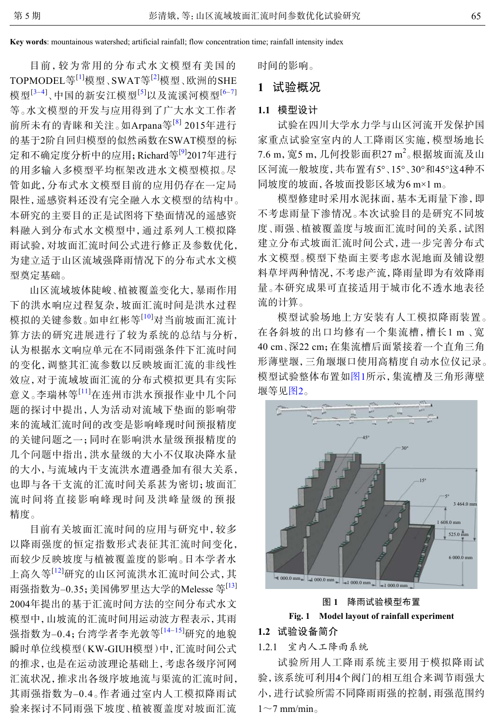**Key words**: mountainous watershed; artificial rainfall; flow concentration time; rainfall intensity index

目前,较为常用的分布式水文模型有美国的 TOPMODEL等<sup>[[1](#page-6-0)]</sup>模型、SWAT等<sup>[[2](#page-6-1)]</sup>模型、欧洲的SHE 模型<sup>[[3](#page-6-2)–[4](#page-6-3)]</sup>、中国的新安江模型<sup>[[5](#page-6-4)]</sup>以及流溪河模型<sup>[[6](#page-6-5)–[7](#page-6-6)]</sup> 等。水文模型的开发与应用得到了广大水文工作者 前所未有的青睐和关注。如Arpana等<sup>[[8](#page-6-7)]</sup> 2015年进行 的基于2阶自回归模型的似然函数在SWAT模型的标 定和不确定度分析中的应用; Richard等<sup>[[9](#page-6-8)]</sup>2017年进行 的用多输入多模型平均框架改进水文模型模拟。尽 管如此,分布式水文模型目前的应用仍存在一定局 限性,遥感资料还没有完全融入水文模型的结构中。 本研究的主要目的正是试图将下垫面情况的遥感资 料融入到分布式水文模型中,通过系列人工模拟降 雨试验,对坡面汇流时间公式进行修正及参数优化, 为建立适于山区流域强降雨情况下的分布式水文模 型奠定基础。

山区流域坡体陡峻、植被覆盖变化大,暴雨作用 下的洪水响应过程复杂,坡面汇流时间是洪水过程 模拟的关键参数。如申红彬等<sup>[[10](#page-6-9)]</sup>对当前坡面汇流计 算方法的研究进展进行了较为系统的总结与分析, 认为根据水文响应单元在不同雨强条件下汇流时间 的变化,调整其汇流参数以反映坡面汇流的非线性 效应,对于流域坡面汇流的分布式模拟更具有实际 意义。李瑞林等[[11](#page-6-10)]在连州市洪水预报作业中几个问 题的探讨中提出,人为活动对流域下垫面的影响带 来的流域汇流时间的改变是影响峰现时间预报精度 的关键问题之一;同时在影响洪水量级预报精度的 几个问题中指出,洪水量级的大小不仅取决降水量 的大小,与流域内干支流洪水遭遇叠加有很大关系, 也即与各干支流的汇流时间关系甚为密切;坡面汇 流时间将直接影响峰现时间及洪峰量级的预报 精度。

目前有关坡面汇流时间的应用与研究中,较多 以降雨强度的恒定指数形式表征其汇流时间变化, 而较少反映坡度与植被覆盖度的影响。日本学者水 上高久等[[12](#page-6-11)]研究的山区河流洪水汇流时间公式,其 雨强指数为-0.35; 美国佛罗里达大学的Melesse 等<sup>[\[13](#page-6-12)]</sup> 2004年提出的基于汇流时间方法的空间分布式水文 模型中,山坡流的汇流时间用运动波方程表示,其雨 强指数为-0.4;台湾学者李光敦等<sup>[[14](#page-6-13)-[15\]](#page-6-14)</sup>研究的地貌 瞬时单位线模型(KW-GIUH模型)中,汇流时间公式 的推求,也是在运动波理论基础上,考虑各级序河网 汇流状况,推求出各级序坡地流与渠流的汇流时间, 其雨强指数为–0.4。作者通过室内人工模拟降雨试 验来探讨不同雨强下坡度、植被覆盖度对坡面汇流 时间的影响。

# **1** 试验概况

## **1.1** 模型设计

试验在四川大学水力学与山区河流开发保护国 家重点试验室室内的人工降雨区实施,模型场地长 7.6 m, 宽5 m, 几何投影面积27 m<sup>2</sup>。根据坡面流及山 区河流一般坡度,共布置有5°、15°、30°和45°这4种不 同坡度的坡面,各坡面投影区域为6 m×1 m。

模型修建时采用水泥抹面,基本无雨量下渗,即 不考虑雨量下渗情况。本次试验目的是研究不同坡 度、雨强、植被覆盖度与坡面汇流时间的关系,试图 建立分布式坡面汇流时间公式,进一步完善分布式 水文模型。模型下垫面主要考虑水泥地面及铺设塑 料草坪两种情况,不考虑产流,降雨量即为有效降雨 量。本研究成果可直接适用于城市化不透水地表径 流的计算。

模型试验场地上方安装有人工模拟降雨装置。 在各斜坡的出口均修有一个集流槽,槽长1 m 、宽 40 cm、深22 cm;在集流槽后面紧接着一个直角三角 形薄壁堰,三角堰堰口使用高精度自动水位仪记录。 模型试验整体布置如[图](#page-1-0)[1](#page-1-0)所示,集流槽及三角形薄壁 堰等见[图](#page-2-0)[2](#page-2-0)。

<span id="page-1-0"></span>

图 **1** 降雨试验模型布置

# **Fig. 1 Model layout of rainfall experiment**

## **1.2** 试验设备简介

1.2.1 室内人工降雨系统

试验所用人工降雨系统主要用于模拟降雨试 验,该系统可利用4个阀门的相互组合来调节雨强大 小,进行试验所需不同降雨雨强的控制,雨强范围约  $1\sim$ 7 mm/min。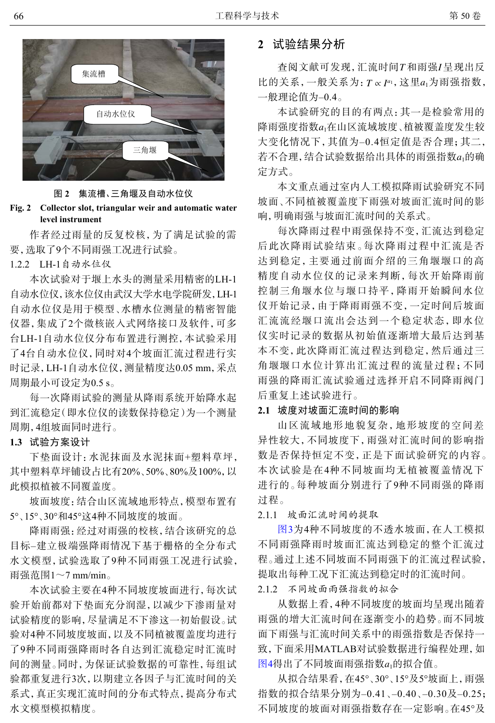<span id="page-2-0"></span>

图 **2** 集流槽、三角堰及自动水位仪

**Fig. 2 Collector slot, triangular weir and automatic water level instrument**

作者经过雨量的反复校核,为了满足试验的需 要,选取了9个不同雨强工况进行试验。

1.2.2 LH-1自动水位仪

本次试验对于堰上水头的测量采用精密的LH-1 自动水位仪,该水位仪由武汉大学水电学院研发,LH-1 自动水位仪是用于模型、水槽水位测量的精密智能 仪器,集成了2个微核嵌入式网络接口及软件,可多 台LH-1自动水位仪分布布置进行测控,本试验采用 了4台自动水位仪,同时对4个坡面汇流过程进行实 时记录,LH-1自动水位仪,测量精度达0.05 mm,采点 周期最小可设定为0.5 s。

每一次降雨试验的测量从降雨系统开始降水起 到汇流稳定(即水位仪的读数保持稳定)为一个测量 周期,4组坡面同时进行。

## **1.3** 试验方案设计

下垫面设计:水泥抹面及水泥抹面+塑料草坪, 其中塑料草坪铺设占比有20%、50%、80%及100%,以 此模拟植被不同覆盖度。

坡面坡度:结合山区流域地形特点,模型布置有 5°、15°、30°和45°这4种不同坡度的坡面。

降雨雨强:经过对雨强的校核,结合该研究的总 目标–建立极端强降雨情况下基于栅格的全分布式 水文模型,试验选取了9种不同雨强工况进行试验, 雨强范围 $1 \sim$ 7 mm/min。

本次试验主要在4种不同坡度坡面进行,每次试 验开始前都对下垫面充分润湿,以减少下渗雨量对 试验精度的影响,尽量满足不下渗这一初始假设。试 验对4种不同坡度坡面,以及不同植被覆盖度均进行 了9种不同雨强降雨时各自达到汇流稳定时汇流时 间的测量。同时,为保证试验数据的可靠性,每组试 验都重复进行3次,以期建立各因子与汇流时间的关 系式,真正实现汇流时间的分布式特点,提高分布式 水文模型模拟精度。

# **2** 试验结果分析

查阅文献可发现,汇流时间T和雨强I呈现出反 比的关系,一般关系为:  $T \propto I^{a_1}$ , 这里 $a_1$ 为雨强指数, 一般理论值为–0.4。

降雨强度指数a<sub>1</sub>在山区流域坡度 、植被覆盖度发生较 若不合理,结合试验数据给出具体的雨强指数a<sub>1</sub>的确 本试验研究的目的有两点:其一是检验常用的 大变化情况下,其值为–0.4恒定值是否合理;其二, 定方式。

本文重点通过室内人工模拟降雨试验研究不同 坡面、不同植被覆盖度下雨强对坡面汇流时间的影 响,明确雨强与坡面汇流时间的关系式。

每次降雨过程中雨强保持不变,汇流达到稳定 后此次降雨试验结束。每次降雨过程中汇流是否 达到稳定,主要通过前面介绍的三角堰堰口的高 精度自动水位仪的记录来判断,每次开始降雨前 控制三角堰水位与堰口持平,降雨开始瞬间水位 仪开始记录,由于降雨雨强不变,一定时间后坡面 汇流流经堰口流出会达到一个稳定状态,即水位 仪实时记录的数据从初始值逐渐增大最后达到基 本不变,此次降雨汇流过程达到稳定,然后通过三 角堰堰口水位计算出汇流过程的流量过程;不同 雨强的降雨汇流试验通过选择开启不同降雨阀门 后重复上述试验进行。

## **2.1** 坡度对坡面汇流时间的影响

山区流域地形地貌复杂,地形坡度的空间差 异性较大,不同坡度下,雨强对汇流时间的影响指 数是否保持恒定不变,正是下面试验研究的内容。 本次试验是在4种不同坡面均无植被覆盖情况下 进行的。每种坡面分别进行了9种不同雨强的降雨 过程。

2.1.1 坡面汇流时间的提取

[图](#page-3-0)[3](#page-3-0)为4种不同坡度的不透水坡面,在人工模拟 不同雨强降雨时坡面汇流达到稳定的整个汇流过 程。通过上述不同坡面不同雨强下的汇流过程试验, 提取出每种工况下汇流达到稳定时的汇流时间。

2.1.2 不同坡面雨强指数的拟合

<u>[图](#page-3-1)</u>[4](#page-3-1)得出了不同坡面雨强指数a<sub>1</sub>的拟合值。 从数据上看,4种不同坡度的坡面均呈现出随着 雨强的增大汇流时间在逐渐变小的趋势。而不同坡 面下雨强与汇流时间关系中的雨强指数是否保持一 [致,](#page-3-1)下面采用MATLAB对试验数据进行编程处理,如

从拟合结果看,在45°、30°、15°及5°坡面上,雨强 指数的拟合结果分别为–0.41、–0.40、–0.30及–0.25; 不同坡度的坡面对雨强指数存在一定影响。在45°及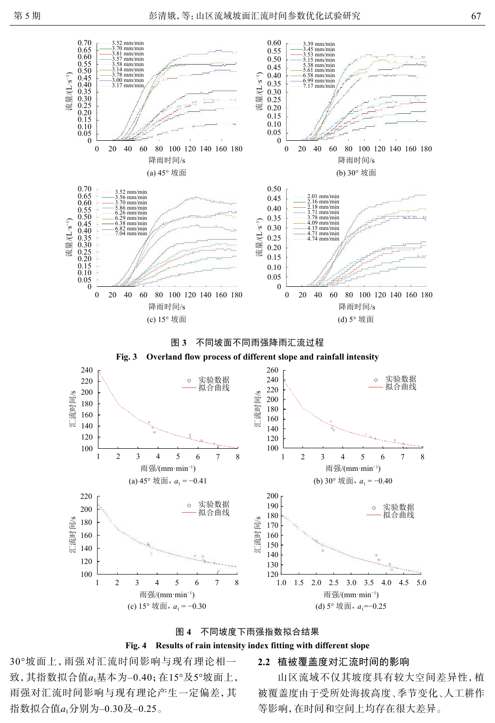<span id="page-3-0"></span>

图 **3** 不同坡面不同雨强降雨汇流过程



<span id="page-3-1"></span>



#### **Fig. 4 Results of rain intensity index fitting with different slope**

致,其指数拟合值a<sub>1</sub>基本为–0.40;在15°及5°坡面上, 指数拟合值a<sub>1</sub>分别为–0.30及–0.25。 30°坡面上,雨强对汇流时间影响与现有理论相一 雨强对汇流时间影响与现有理论产生一定偏差,其

## **2.2** 植被覆盖度对汇流时间的影响

山区流域不仅其坡度具有较大空间差异性,植 被覆盖度由于受所处海拔高度、季节变化、人工耕作 等影响,在时间和空间上均存在很大差异。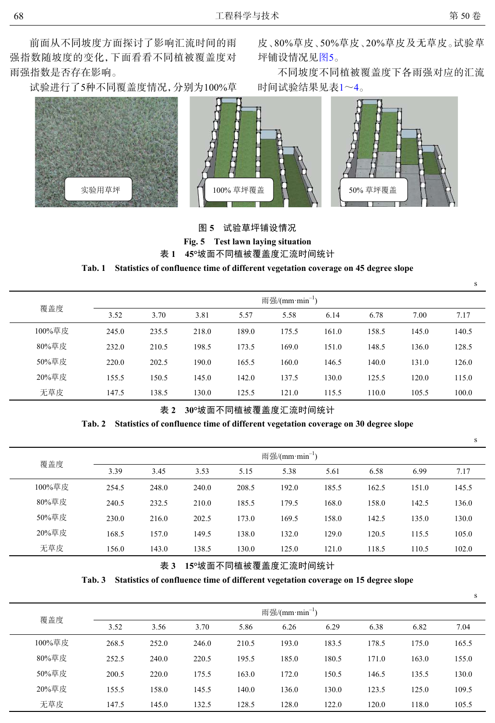前面从不同坡度方面探讨了影响汇流时间的雨 强指数随坡度的变化,下面看看不同植被覆盖度对 雨强指数是否存在影响。

<span id="page-4-0"></span>试验进行了5种不同覆盖度情况,分别为100%草

皮、80%草皮、50%草皮、20%草皮及无草皮。试验草 坪铺设情况见[图](#page-4-0)[5](#page-4-0)。

不同坡度不同植被覆盖度下各雨强对应的汇流 时间试验结果见表[1](#page-4-1)~[4](#page-5-0)。



# <span id="page-4-1"></span>表 **1 45°**坡面不同植被覆盖度汇流时间统计 图 **5** 试验草坪铺设情况 **Fig. 5 Test lawn laying situation**

#### **Tab. 1 Statistics of confluence time of different vegetation coverage on 45 degree slope**

| 覆盖度    |       |       |       |       | 雨强/ $(mm·min^{-1})$ |       |       |       |       |
|--------|-------|-------|-------|-------|---------------------|-------|-------|-------|-------|
|        | 3.52  | 3.70  | 3.81  | 5.57  | 5.58                | 6.14  | 6.78  | 7.00  | 7.17  |
| 100%草皮 | 245.0 | 235.5 | 218.0 | 189.0 | 175.5               | 161.0 | 158.5 | 145.0 | 140.5 |
| 80%草皮  | 232.0 | 210.5 | 198.5 | 173.5 | 169.0               | 151.0 | 148.5 | 136.0 | 128.5 |
| 50%草皮  | 220.0 | 202.5 | 190.0 | 165.5 | 160.0               | 146.5 | 140.0 | 131.0 | 126.0 |
| 20%草皮  | 155.5 | 150.5 | 145.0 | 142.0 | 137.5               | 130.0 | 125.5 | 120.0 | 115.0 |
| 无草皮    | 147.5 | 138.5 | 130.0 | 125.5 | 121.0               | 115.5 | 110.0 | 105.5 | 100.0 |

#### 表 **2 30°**坡面不同植被覆盖度汇流时间统计

#### **Tab. 2 Statistics of confluence time of different vegetation coverage on 30 degree slope**

覆盖度 雨强/ $(\text{mm}\cdot\text{min}^{-1})$ 3.39 3.45 3.53 5.15 5.38 5.61 6.58 6.99 7.17 100%草皮 254.5 248.0 240.0 208.5 192.0 185.5 162.5 151.0 145.5 80%草皮 240.5 232.5 210.0 185.5 179.5 168.0 158.0 142.5 136.0 50%草皮 230.0 216.0 202.5 173.0 169.5 158.0 142.5 135.0 130.0 20%草皮 168.5 157.0 149.5 138.0 132.0 129.0 120.5 115.5 105.0 无草皮 156.0 143.0 138.5 130.0 125.0 121.0 118.5 110.5 102.0  $\frac{1}{2}$  147.5 147.5 147.5 147.6 147.6 147.6 147.6 147.6 147.6 147.6 147.6 147.6 147.6 147.6 148.5 148.6 148.6 148.6 148.6 148.6 148.6 148.6 148.6 148.6 148.6 148.6 148.6 148.6 148.6 148.6 148.6 148.6 148.6 148.6 148.6

表 **3 15°**坡面不同植被覆盖度汇流时间统计

#### **Tab. 3 Statistics of confluence time of different vegetation coverage on 15 degree slope**

|        |                     |       |       |       |       |       |       |       | S     |  |
|--------|---------------------|-------|-------|-------|-------|-------|-------|-------|-------|--|
|        | 雨强/ $(mm·min^{-1})$ |       |       |       |       |       |       |       |       |  |
| 覆盖度    | 3.52                | 3.56  | 3.70  | 5.86  | 6.26  | 6.29  | 6.38  | 6.82  | 7.04  |  |
| 100%草皮 | 268.5               | 252.0 | 246.0 | 210.5 | 193.0 | 183.5 | 178.5 | 175.0 | 165.5 |  |
| 80%草皮  | 252.5               | 240.0 | 220.5 | 195.5 | 185.0 | 180.5 | 171.0 | 163.0 | 155.0 |  |
| 50%草皮  | 200.5               | 220.0 | 175.5 | 163.0 | 172.0 | 150.5 | 146.5 | 135.5 | 130.0 |  |
| 20%草皮  | 155.5               | 158.0 | 145.5 | 140.0 | 136.0 | 130.0 | 123.5 | 125.0 | 109.5 |  |
| 无草皮    | 147.5               | 145.0 | 132.5 | 128.5 | 128.0 | 122.0 | 120.0 | 118.0 | 105.5 |  |

s

s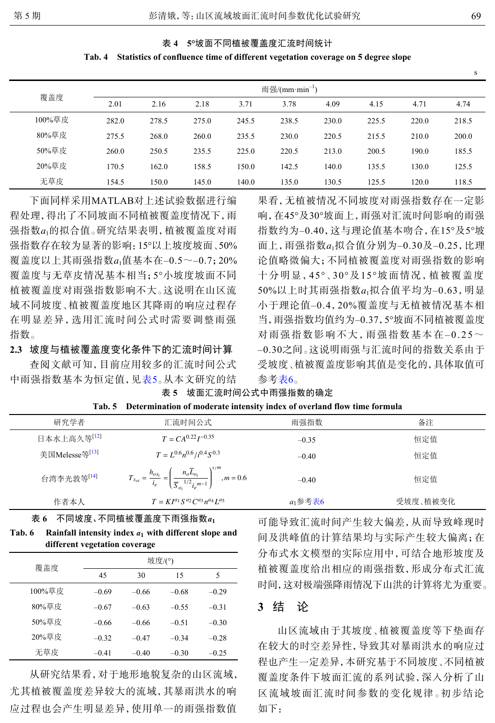#### <span id="page-5-0"></span>表 **4 5°**坡面不同植被覆盖度汇流时间统计

#### **Tab. 4 Statistics of confluence time of different vegetation coverage on 5 degree slope**

|        | 雨强/ $(mm·min^{-1})$ |       |       |       |       |       |       |       |       |  |
|--------|---------------------|-------|-------|-------|-------|-------|-------|-------|-------|--|
| 覆盖度    | 2.01                | 2.16  | 2.18  | 3.71  | 3.78  | 4.09  | 4.15  | 4.71  | 4.74  |  |
| 100%草皮 | 282.0               | 278.5 | 275.0 | 245.5 | 238.5 | 230.0 | 225.5 | 220.0 | 218.5 |  |
| 80%草皮  | 275.5               | 268.0 | 260.0 | 235.5 | 230.0 | 220.5 | 215.5 | 210.0 | 200.0 |  |
| 50%草皮  | 260.0               | 250.5 | 235.5 | 225.0 | 220.5 | 213.0 | 200.5 | 190.0 | 185.5 |  |
| 20%草皮  | 170.5               | 162.0 | 158.5 | 150.0 | 142.5 | 140.0 | 135.5 | 130.0 | 125.5 |  |
| 无草皮    | 154.5               | 150.0 | 145.0 | 140.0 | 135.0 | 130.5 | 125.5 | 120.0 | 118.5 |  |

强指数a<sub>1</sub>的拟合值。研究结果表明, 植被覆盖度对雨 覆盖度以上其雨强指数 $a_{\rm 1}$ 值基本在–0.5~–0.7;20% 下面同样采用MATLAB对上述试验数据进行编 程处理,得出了不同坡面不同植被覆盖度情况下,雨 强指数存在较为显著的影响:15°以上坡度坡面、50% 覆盖度与无草皮情况基本相当;5°小坡度坡面不同 植被覆盖度对雨强指数影响不大。这说明在山区流 域不同坡度、植被覆盖度地区其降雨的响应过程存 在明显差异,选用汇流时间公式时需要调整雨强 指数。

**2.3** 坡度与植被覆盖度变化条件下的汇流时间计算

查阅文献可知,目前应用较多的汇流时间公式 中雨强指数基本为恒定值,见[表](#page-5-1)[5](#page-5-1)。从本文研究的结

面上, 雨强指数 $a_1$ 拟合值分别为–0.30及–0.25, 比理 50%以上时其雨强指数a<sub>1</sub>拟合值平均为–0.63, 明显 果看,无植被情况不同坡度对雨强指数存在一定影 响,在45°及30°坡面上,雨强对汇流时间影响的雨强 指数约为–0.40,这与理论值基本吻合,在15°及5°坡 论值略微偏大;不同植被覆盖度对雨强指数的影响 十分明显,45°、30°及15°坡面情况,植被覆盖度 小于理论值–0.4,20%覆盖度与无植被情况基本相 当,雨强指数均值约为–0.37,5°坡面不同植被覆盖度 对雨强指数影响不大,雨强指数基本在–0.25~ –0.30之间。这说明雨强与汇流时间的指数关系由于 受坡度、植被覆盖度影响其值是变化的,具体取值可 参考表6。

| 研究学者                       | 汇流时间公式                                                                                                                             | 雨强指数          | 备注       |
|----------------------------|------------------------------------------------------------------------------------------------------------------------------------|---------------|----------|
| 日本水上高久等[12]                | $T = CA^{0.22}I^{-0.35}$                                                                                                           | $-0.35$       | 恒定值      |
| 美国Melesse等 <sup>[13]</sup> | $T = L^{0.6} n^{0.6} / i^{0.4} S^{0.3}$                                                                                            | $-0.40$       | 恒定值      |
| 台湾李光敦等[14]                 | $T_{x_{oi}} = \frac{h_{os_i}}{i_e} = \left(\frac{n_o \overline{L}_{oj}}{\overline{S}_{oi}^{-1/2} i_o^{m-1}}\right)^{1/m}, m = 0.6$ | $-0.40$       | 恒定值      |
| 作者本人                       | $T = K I^{a_1} S^{a_2} C^{a_3} n^{a_4} L^{a_5}$                                                                                    | $a_1$ 参考表 $6$ | 受坡度、植被变化 |

<span id="page-5-1"></span>表 **5** 坡面汇流时间公式中雨强指数的确定 **Tab. 5 Determination of moderate intensity index of overland flow time formula**

表 **6** 不同坡度、不同植被覆盖度下雨强指数*a*<sup>1</sup> **Tab. 6 Rainfall intensity index** *a*<sup>1</sup> **with different slope and**

| different vegetation coverage |
|-------------------------------|
|-------------------------------|

| 覆盖度    | 坡度/(°)  |         |         |         |  |  |  |
|--------|---------|---------|---------|---------|--|--|--|
|        | 45      | 30      | 15      | 5       |  |  |  |
| 100%草皮 | $-0.69$ | $-0.66$ | $-0.68$ | $-0.29$ |  |  |  |
| 80%草皮  | $-0.67$ | $-0.63$ | $-0.55$ | $-0.31$ |  |  |  |
| 50%草皮  | $-0.66$ | $-0.66$ | $-0.51$ | $-0.30$ |  |  |  |
| 20%草皮  | $-0.32$ | $-0.47$ | $-0.34$ | $-0.28$ |  |  |  |
| 无草皮    | $-0.41$ | $-0.40$ | $-0.30$ | $-0.25$ |  |  |  |

从研究结果看,对于地形地貌复杂的山区流域, 尤其植被覆盖度差异较大的流域,其暴雨洪水的响 应过程也会产生明显差异,使用单一的雨强指数值 可能导致汇流时间产生较大偏差,从而导致峰现时 间及洪峰值的计算结果均与实际产生较大偏离;在 分布式水文模型的实际应用中,可结合地形坡度及 植被覆盖度给出相应的雨强指数,形成分布式汇流 时间,这对极端强降雨情况下山洪的计算将尤为重要。

# **3** 结 论

山区流域由于其坡度、植被覆盖度等下垫面存 在较大的时空差异性,导致其对暴雨洪水的响应过 程也产生一定差异,本研究基于不同坡度、不同植被 覆盖度条件下坡面汇流的系列试验,深入分析了山 区流域坡面汇流时间参数的变化规律。初步结论 如下:

s